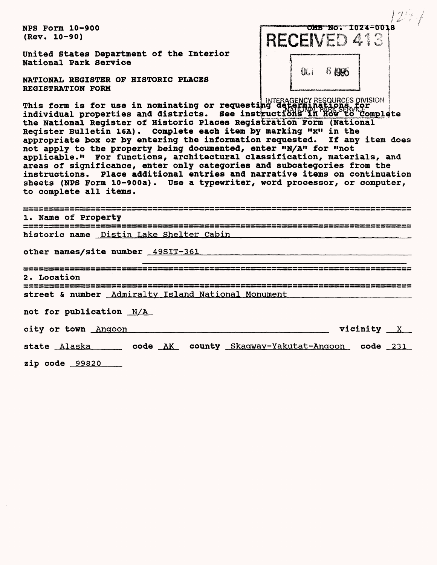NPS Form 10-900 (Rev. 10-90)

United States Department of the Interior National Park Service

NATIONAL REGISTER OF HISTORIC PLACES REGISTRATION FORM

This form is for use in nominating or requesting determinations. This formulation is for use in nominating or requesting determinations. individual properties and districts. See inst<u>ructions in How to Comple</u>te<br>the National Register of Historic Places Registration Form (National Register Bulletin 16A). Complete each item by marking "x" in the<br>appropriate box or by entering the information requested. If any item does appropriate box or by entering the information requested. not apply to the property being documented, enter "N/A" for "not applicable." For functions, architectural classification, materials, and areas of significance, enter only categories and subcategories from the instructions. Place additional entries and narrative items on continuation sheets (NPS Form 10-900a). Use a typewriter, word processor, or computer, to complete all items.

/./

 $1024 - 00$ 

 $0 \cup 6$   $\alpha$ 

RECEIVED

**Wrest** 

| 1. Name of Property                                |
|----------------------------------------------------|
| historic name Distin Lake Shelter Cabin            |
| other names/site number 49SIT-361                  |
| 2. Location                                        |
| street & number Admiralty Island National Monument |
| not for publication N/A                            |
| city or town Angoon<br>vicinity X                  |
|                                                    |
| zip code 99820                                     |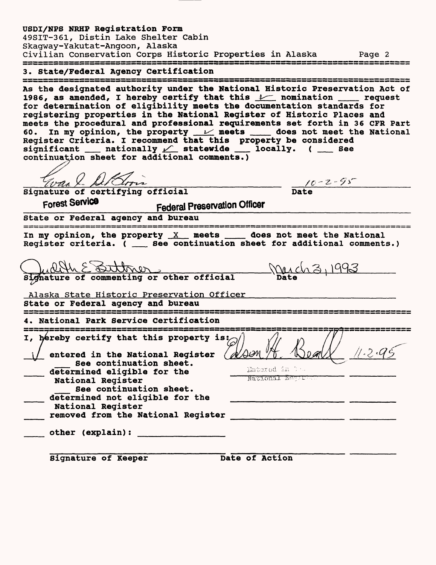| USDI/NPS NRHP Registration Form<br>49SIT-361, Distin Lake Shelter Cabin<br>Skaqway-Yakutat-Angoon, Alaska<br>Civilian Conservation Corps Historic Properties in Alaska Bage 2                                                                                                                                                                                                                                                                                                                                                                                                                                                                                                                                                                                                                            |                                                                   |  |  |  |
|----------------------------------------------------------------------------------------------------------------------------------------------------------------------------------------------------------------------------------------------------------------------------------------------------------------------------------------------------------------------------------------------------------------------------------------------------------------------------------------------------------------------------------------------------------------------------------------------------------------------------------------------------------------------------------------------------------------------------------------------------------------------------------------------------------|-------------------------------------------------------------------|--|--|--|
| 3. State/Federal Agency Certification                                                                                                                                                                                                                                                                                                                                                                                                                                                                                                                                                                                                                                                                                                                                                                    |                                                                   |  |  |  |
| .<br>1960 - الثالث الثالث الثالث الثالث الثالث الثالث الثالث الثالث الثالث الثالث الثالث الثالث الثالث الثالث الثا<br>As the designated authority under the National Historic Preservation Act of<br>1986, as amended, I hereby certify that this $\mathcal{L}$ nomination ____ request<br>for determination of eligibility meets the documentation standards for<br>registering properties in the National Register of Historic Places and<br>meets the procedural and professional requirements set forth in 36 CFR Part<br>In my opinion, the property $\_\nu$ meets ______ does not meet the National<br>60.<br>Register Criteria. I recommend that this property be considered<br>significant __ nationally $\angle$ statewide __ locally. ( __ See<br>continuation sheet for additional comments.) |                                                                   |  |  |  |
| van & DoBoom                                                                                                                                                                                                                                                                                                                                                                                                                                                                                                                                                                                                                                                                                                                                                                                             | $\frac{10 - 2 - 95}{\text{Date}}$                                 |  |  |  |
| Signature of certifying official                                                                                                                                                                                                                                                                                                                                                                                                                                                                                                                                                                                                                                                                                                                                                                         |                                                                   |  |  |  |
| Forest Service<br><b>Federal Preservation Officer</b>                                                                                                                                                                                                                                                                                                                                                                                                                                                                                                                                                                                                                                                                                                                                                    |                                                                   |  |  |  |
| State or Federal agency and bureau                                                                                                                                                                                                                                                                                                                                                                                                                                                                                                                                                                                                                                                                                                                                                                       |                                                                   |  |  |  |
| Register criteria. ( __ See continuation sheet for additional comments.)<br>Signature of commenting or other official<br>Alaska State Historic Preservation Officer<br>State or Federal agency and bureau                                                                                                                                                                                                                                                                                                                                                                                                                                                                                                                                                                                                | Muclea31993                                                       |  |  |  |
| 4. National Park Service Certification                                                                                                                                                                                                                                                                                                                                                                                                                                                                                                                                                                                                                                                                                                                                                                   |                                                                   |  |  |  |
| I, hereby certify that this property is: $\bigcirc$ /<br>entered in the National Register<br>See continuation sheet.<br>determined eligible for the<br>National Register<br>See continuation sheet.<br>determined not eligible for the<br>National Register<br>removed from the National Register<br>other (explain):                                                                                                                                                                                                                                                                                                                                                                                                                                                                                    | $\sqrt{h}$ in<br>$\varphi$<br>Entered in the<br>National Register |  |  |  |
| <b>Signature of Keeper</b>                                                                                                                                                                                                                                                                                                                                                                                                                                                                                                                                                                                                                                                                                                                                                                               | Date of Action                                                    |  |  |  |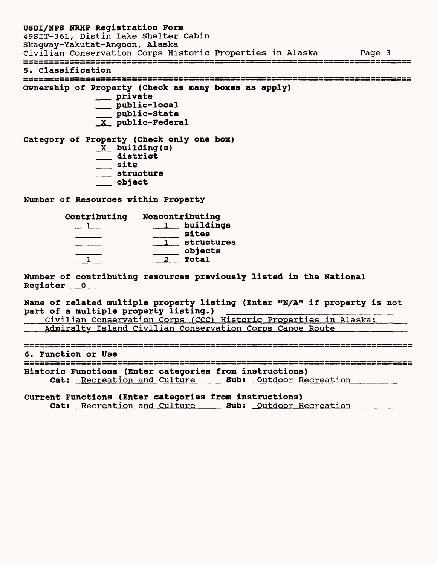USDI/NPS NRHP Registration Form 49SIT-361, Distin Lake Shelter Cabin Skagway-Yakutat-Angoon, Alaska Civilian Conservation Corps Historic Properties in Alaska Page 3 5. Classification Ownership of Property (Check as many boxes as apply) \_\_ private \_\_ public-local \_\_ public-State  $X$  public-Federal

Category of Property (Check only one box)

- $X$  building(s)
- \_\_ district \_\_ site
- \_\_ structure
- \_\_ object
- 

Number of Resources within Property

| Contributing | Noncontributing |  |  |  |  |
|--------------|-----------------|--|--|--|--|
|              | buildings       |  |  |  |  |
|              | sites           |  |  |  |  |
|              | structures      |  |  |  |  |
|              | objects         |  |  |  |  |
|              | Total           |  |  |  |  |

Number of contributing resources previously listed in the National Register 0

Name of related multiple property listing (Enter "N/A" if property is not part of a multiple property listing.)

Civilian Conservation Corps (CCC) Historic Properties in Alaska; Admiralty Island Civilian Conservation Corps Canoe Route

6. Function or Use

Historic Functions (Enter categories from instructions) Cat: Recreation and Culture\_\_\_\_ Sub: Outdoor Recreation

Current Functions (Enter categories from instructions) Cat: Recreation and Culture\_\_\_\_ Sub: Outdoor Recreation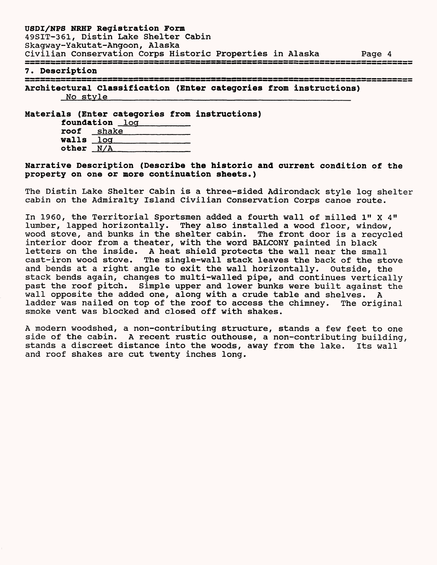| USDI/NPS NRHP Registration Form                                                                                                          |        |
|------------------------------------------------------------------------------------------------------------------------------------------|--------|
| 49SIT-361, Distin Lake Shelter Cabin                                                                                                     |        |
| Skaqway-Yakutat-Angoon, Alaska                                                                                                           |        |
| Civilian Conservation Corps Historic Properties in Alaska                                                                                | Page 4 |
| أركالا أضللا خصنة فدب مبحن قلدن مصلأ بتصنا للنبي تصبه تصبر بعنن ويحبة بتني في تلنيب ويبيع نصبه وهم ونبيت تصبه تصبر فيهم بعي بعيد<br>---- |        |

#### 7. Description

.<br>الأمير التي يقد الملك الشيء الألب الثالث الأربوب التي تبيين الثالث الألب ليبين الملك الثالث الثالث المرارية<br>التالي التالي الثالث الثالث الثالث الثالث الثالث الثالث التالي الثالث الثالث الثالث الثالث الثالث الثالث الثال

Architectural Classification (Enter categories from instructions) No style

Materials (Enter categories from instructions)

|           | foundation log |
|-----------|----------------|
|           | roof shake     |
| walls log |                |
| other N/A |                |

# Narrative Description (Describe the historic and current condition of the property on one or more continuation sheets.)

The Distin Lake Shelter Cabin is a three-sided Adirondack style log shelter cabin on the Admiralty Island Civilian Conservation Corps canoe route.

In 1960, the Territorial Sportsmen added a fourth wall of milled 1" X 4" lumber, lapped horizontally. They also installed a wood floor, window, wood stove, and bunks in the shelter cabin. The front door is a recycled interior door from a theater, with the word BALCONY painted in black letters on the inside. A heat shield protects the wall near the small cast-iron wood stove. The single-wall stack leaves the back of the stove and bends at a right angle to exit the wall horizontally. Outside, the stack bends again, changes to multi-walled pipe, and continues vertically past the roof pitch. Simple upper and lower bunks were built against the wall opposite the added one, along with a crude table and shelves. A ladder was nailed on top of the roof to access the chimney. The original smoke vent was blocked and closed off with shakes.

A modern woodshed, a non-contributing structure, stands a few feet to one side of the cabin. A recent rustic outhouse, a non-contributing building, stands a discreet distance into the woods, away from the lake. Its wall and roof shakes are cut twenty inches long.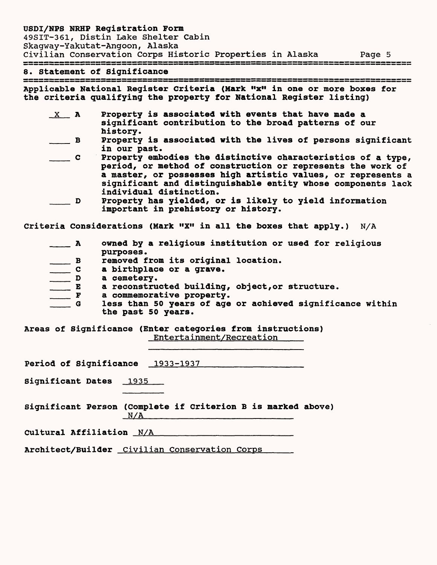|                            | USDI/NPS NRHP Registration Form<br>49SIT-361, Distin Lake Shelter Cabin<br>Skaqway-Yakutat-Angoon, Alaska<br>Civilian Conservation Corps Historic Properties in Alaska Page 5<br>.<br>از این علی خلال کا این ناتو هی درو دی کی این دی بالا از این دی در درو کو خلال دی دی چی چی در دی کی کار دارد ا<br>از دی بلا دی در درو دارد در در درو در دی در درو کار درو درو کار از این درو دی چی در درو کار درو کار درو کار د |
|----------------------------|----------------------------------------------------------------------------------------------------------------------------------------------------------------------------------------------------------------------------------------------------------------------------------------------------------------------------------------------------------------------------------------------------------------------|
|                            | 8. Statement of Significance<br>할 수 있습니다 그는 그 사람들은 이 사람들을 하나 아이들은 아이들의 아이들의 아이들의 아이들을 바라보았다. 이 아이들은 아이들은 아이들의 아이들을 하나 때문에 대한 것이다. 그 사람들은 이 사람들                                                                                                                                                                                                                                                                       |
|                            | Applicable National Register Criteria (Mark "x" in one or more boxes for<br>the criteria qualifying the property for National Register listing)                                                                                                                                                                                                                                                                      |
| $X$ $A$                    | Property is associated with events that have made a<br>significant contribution to the broad patterns of our<br>history.                                                                                                                                                                                                                                                                                             |
| $\overline{\phantom{a}}$ B | Property is associated with the lives of persons significant<br>in our past.                                                                                                                                                                                                                                                                                                                                         |
| $\mathbf{C}$               | Property embodies the distinctive characteristics of a type,<br>period, or method of construction or represents the work of<br>a master, or possesses high artistic values, or represents a<br>significant and distinguishable entity whose components lack<br>individual distinction.                                                                                                                               |
| <b>D</b>                   | Property has yielded, or is likely to yield information<br>important in prehistory or history.                                                                                                                                                                                                                                                                                                                       |
|                            | Criteria Considerations (Mark "X" in all the boxes that apply.)<br>N/A                                                                                                                                                                                                                                                                                                                                               |
| $\overline{a}$             | owned by a religious institution or used for religious<br>purposes.<br>removed from its original location.                                                                                                                                                                                                                                                                                                           |
| $\mathbf{B}$<br>$\equiv$ c | a birthplace or a grave.                                                                                                                                                                                                                                                                                                                                                                                             |

- D a cemetery.
- E a reconstructed building, object, or structure.
- F a commemorative property.
- G less than 50 years of age or achieved significance within the past 50 years.

Areas of Significance (Enter categories from instructions) Entertainment/Recreation\_\_\_\_\_

Period of Significance 1933-1937

Significant Dates 1935

Significant Person (Complete if Criterion B is marked above)  $N/A$ 

Cultural Affiliation N/A Cultural Affiliation Component

**Architect/Builder** Civilian Conservation Corps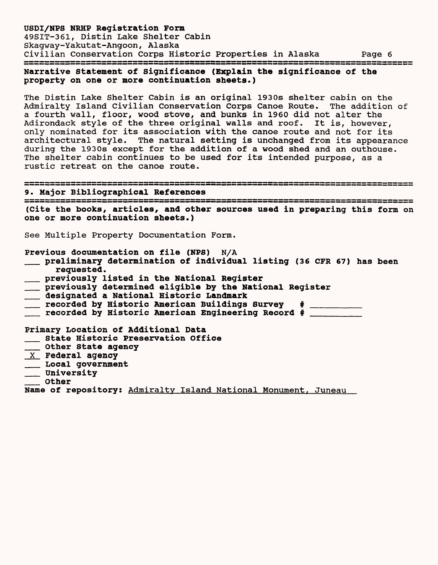# USDI/NPS NRHP Registration Form 49SIT-361, Distin Lake Shelter Cabin Skagway-Yakutat-Angoon, Alaska Civilian Conservation Corps Historic Properties in Alaska Page 6 **Narrative Statement of Significance (Explain the significance of the**

**property on one or more continuation sheets.)**

The Distin Lake Shelter Cabin is an original 1930s shelter cabin on the Admiralty Island Civilian Conservation Corps Canoe Route. The addition of a fourth wall, floor, wood stove, and bunks in 1960 did not alter the Adirondack style of the three original walls and roof. It is, however, only nominated for its association with the canoe route and not for its architectural style. The natural setting is unchanged from its appearance during the 1930s except for the addition of a wood shed and an outhouse. The shelter cabin continues to be used for its intended purpose, as a rustic retreat on the canoe route.

**9. Major Bibliographical References** (Cite the books, articles, and other sources used in preparing this form on one or more continuation sheets.) See Multiple Property Documentation Form. Previous documentation on file (NFS) N/A \_\_ preliminary determination of individual listing (36 CPR 67) has been requested. \_\_ previously listed in the National Register \_\_ previously determined eligible by the National Register \_\_ designated a National Historic Landmark  $\overline{\phantom{a}}$  recorded by Historic American Buildings Survey  $\phantom{a}^*$   $\phantom{a}$ \_\_ recorded by Historic American Engineering Record # \_\_\_\_\_\_\_ Primary Location of Additional Data \_\_ State Historic Preservation Office \_\_ Other State agency X Federal agency \_\_ Local government \_\_ University Other Name **of repository:** Admiralty Island National Monument, Juneau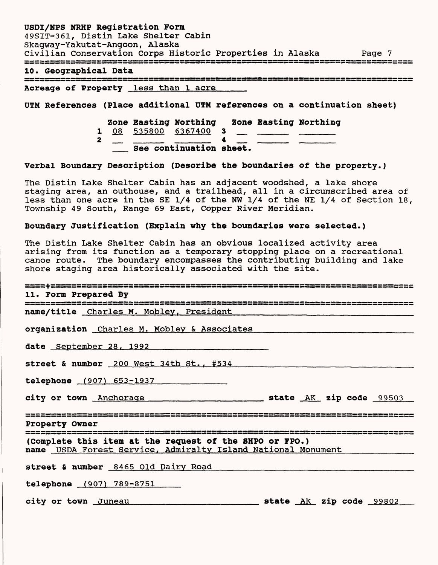| USDI/NPS NRHP Registration Form<br>49SIT-361, Distin Lake Shelter Cabin |        |
|-------------------------------------------------------------------------|--------|
| Skagway-Yakutat-Angoon, Alaska                                          |        |
| Civilian Conservation Corps Historic Properties in Alaska               | Page 7 |
|                                                                         |        |
| 10. Geographical Data                                                   |        |
|                                                                         |        |
| Acreage of Property less than 1 acre                                    |        |

### UTM References (Place additional UTN references on a continuation sheet)

Zone Easting Northing Zone Easting Northing 1 08 535800 6367400 3 \_ \_\_\_\_\_ \_\_\_\_\_\_  $2 - \frac{4}{\sqrt{200}} \frac{4}{\sqrt{200}} \frac{2}{\sqrt{200}}$ \_\_ See continuation sheet.

#### Verbal Boundary Description (Describe the boundaries of the property.)

The Distin Lake Shelter Cabin has an adjacent woodshed, a lake shore staging area, an outhouse, and a trailhead, all in a circumscribed area of less than one acre in the SE 1/4 of the NW 1/4 of the NE 1/4 of Section 18, Township 49 South, Range 69 East, Copper River Meridian.

## **Boundary Justification (Explain why the boundaries were selected.)**

The Distin Lake Shelter Cabin has an obvious localized activity area arising from its function as a temporary stopping place on a recreational canoe route. The boundary encompasses the contributing building and lake shore staging area historically associated with the site.

| 11. Form Prepared By                                                                                                    |  |  |  |
|-------------------------------------------------------------------------------------------------------------------------|--|--|--|
| name/title Charles M. Mobley, President                                                                                 |  |  |  |
| organization Charles M. Mobley & Associates                                                                             |  |  |  |
| date September 28, 1992                                                                                                 |  |  |  |
| street & number 200 West 34th St., #534                                                                                 |  |  |  |
| telephone (907) 653-1937                                                                                                |  |  |  |
| city or town Anchorage <b>Example 2008</b> state AK zip code 99503                                                      |  |  |  |
| ,我不知道我们的。" "我不知道,我们就是我们的,我们就是我们的,我们就是我们的,我们也不知道,我们就是我们的,我们就是我们的。" "我们的,我们就是我们的,我们也不知道                                   |  |  |  |
| Property Owner                                                                                                          |  |  |  |
| (Complete this item at the request of the SHPO or FPO.)<br>name USDA Forest Service, Admiralty Island National Monument |  |  |  |
| street & number 8465 Old Dairy Road                                                                                     |  |  |  |
| telephone (907) 789-8751                                                                                                |  |  |  |
| state AK zip code 99802<br>city or town Juneau                                                                          |  |  |  |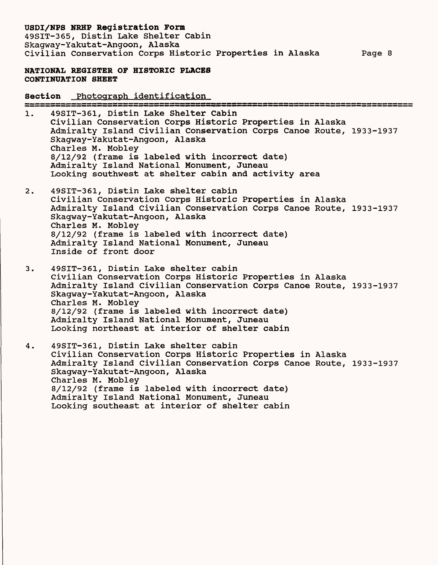۔<br>اس کے بعد کو بنی نصر مات ٹری ہیں کا تو ہی میں ملک بڑی بڑی ٹریز نہیں کو بھی بھا الت پری بلات کو دی بھی کل ہوں گ<br>اس کو بنی کو ملک کو اس کو نہیں کہ اس نہیں ملک ہیں ہوں کہ جند ملک ملک بھی اس لوں گانا اگر زینپ نہیں کار بھی ن

**NATIONAL REGISTER OF HISTORIC PLACES CONTINUATION SHEET**

Section Photograph identification

- 49SIT-361, Distin Lake Shelter Cabin  $\mathbf{1}$ . Civilian Conservation Corps Historic Properties in Alaska Admiralty Island Civilian Conservation Corps Canoe Route, 1933-1937 Skagway-Yakutat-Angoon, Alaska Charles M. Mobley 8/12/92 (frame is labeled with incorrect date) Admiralty Island National Monument, Juneau Looking southwest at shelter cabin and activity area
- 49SIT-361, Distin Lake shelter cabin  $2.$ Civilian Conservation Corps Historic Properties in Alaska Admiralty Island Civilian Conservation Corps Canoe Route, 1933-1937 Skagway-Yakutat-Angoon, Alaska Charles M. Mobley 8/12/92 (frame is labeled with incorrect date) Admiralty Island National Monument, Juneau Inside of front door
- 49SIT-361, Distin Lake shelter cabin  $3.$ Civilian Conservation Corps Historic Properties in Alaska Admiralty Island Civilian Conservation Corps Canoe Route, 1933-1937 Skagway-Yakutat-Angoon, Alaska Charles M. Mobley 8/12/92 (frame is labeled with incorrect date) Admiralty Island National Monument, Juneau Looking northeast at interior of shelter cabin
- 49SIT-361, Distin Lake shelter cabin 4. Civilian Conservation Corps Historic Properties in Alaska Admiralty Island Civilian Conservation Corps Canoe Route, 1933-1937 Skagway-Yakutat-Angoon, Alaska Charles M. Mobley 8/12/92 (frame is labeled with incorrect date) Admiralty Island National Monument, Juneau Looking southeast at interior of shelter cabin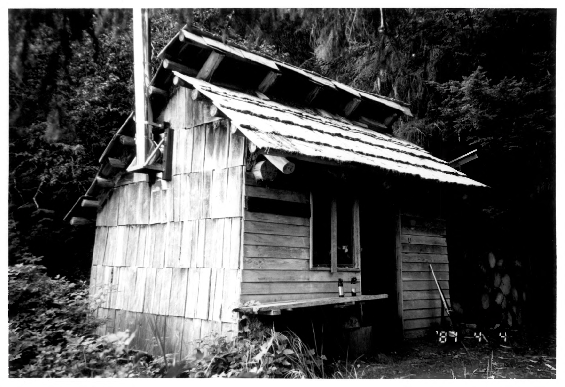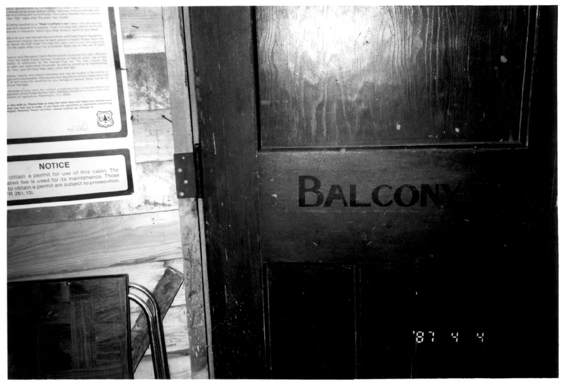saming digensationsmand by must added descripts where a money constructed broad<br>A simulation and the district self-look of the system in A recommendated broad<br>Also "flags" tagets after the water from convent.

is being hundred on a "Pack it suPack it sul" back. You are reported and the last special results and the last<br>sum and diagons of it princers. Food, rectuding set, should not be left

and to all your case rank and should comply with Count Guard impliations.<br>Approved National State and persons in the case. Now there we have the second state of the second state of the<br>In Monte the high state your trip is

**Let a capit Bacagine Capito Burns before construct through the capito Particular and Angle Capital Construction (2)**<br>Angle in additional by the description that their the motion capital capital capital and angle in the c

and the function and the function continues and their the tractation of the current of the property of the property in the current of the current of the current of the current of the current of the current of the current

Sections of race, paint sex, religion, or riginized origin is not permitted in line.<br>Designed of the Presid Service (abon, Address comparely by Crust, Furnal form

al silay work us, Prassa help us keep the cabin plean and report any maintenance.<br>Shall you find and seller if you have any questions or uprovening concerning.<br>Impare' National Furest activities, please contact our officie

 $\cup \widetilde{\mathbb{A}}\mathbb{S}$ 

#### **NOTICE**

obtain a permit for use of this cabin. The ated fee is used for its maintenance. Those to obtain a permit are subject to prosecution. R 261.15).

 $100$ 

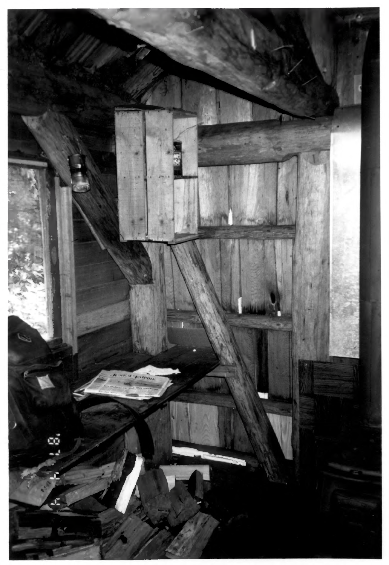